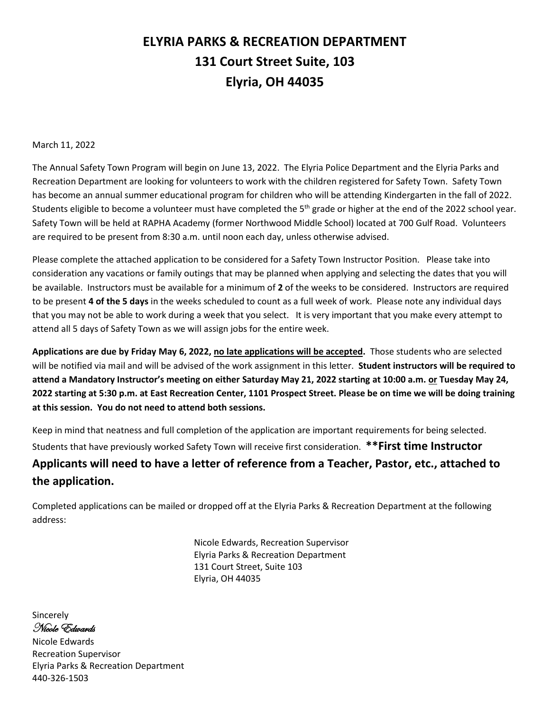## **ELYRIA PARKS & RECREATION DEPARTMENT 131 Court Street Suite, 103 Elyria, OH 44035**

March 11, 2022

The Annual Safety Town Program will begin on June 13, 2022. The Elyria Police Department and the Elyria Parks and Recreation Department are looking for volunteers to work with the children registered for Safety Town. Safety Town has become an annual summer educational program for children who will be attending Kindergarten in the fall of 2022. Students eligible to become a volunteer must have completed the 5<sup>th</sup> grade or higher at the end of the 2022 school year. Safety Town will be held at RAPHA Academy (former Northwood Middle School) located at 700 Gulf Road. Volunteers are required to be present from 8:30 a.m. until noon each day, unless otherwise advised.

Please complete the attached application to be considered for a Safety Town Instructor Position. Please take into consideration any vacations or family outings that may be planned when applying and selecting the dates that you will be available. Instructors must be available for a minimum of **2** of the weeks to be considered. Instructors are required to be present **4 of the 5 days** in the weeks scheduled to count as a full week of work. Please note any individual days that you may not be able to work during a week that you select. It is very important that you make every attempt to attend all 5 days of Safety Town as we will assign jobs for the entire week.

**Applications are due by Friday May 6, 2022, no late applications will be accepted.** Those students who are selected will be notified via mail and will be advised of the work assignment in this letter. **Student instructors will be required to attend a Mandatory Instructor's meeting on either Saturday May 21, 2022 starting at 10:00 a.m. or Tuesday May 24, 2022 starting at 5:30 p.m. at East Recreation Center, 1101 Prospect Street. Please be on time we will be doing training at this session. You do not need to attend both sessions.**

Keep in mind that neatness and full completion of the application are important requirements for being selected. Students that have previously worked Safety Town will receive first consideration. **\*\*First time Instructor Applicants will need to have a letter of reference from a Teacher, Pastor, etc., attached to the application.**

Completed applications can be mailed or dropped off at the Elyria Parks & Recreation Department at the following address:

> Nicole Edwards, Recreation Supervisor Elyria Parks & Recreation Department 131 Court Street, Suite 103 Elyria, OH 44035

Sincerely Nicole Edwards

Nicole Edwards Recreation Supervisor Elyria Parks & Recreation Department 440-326-1503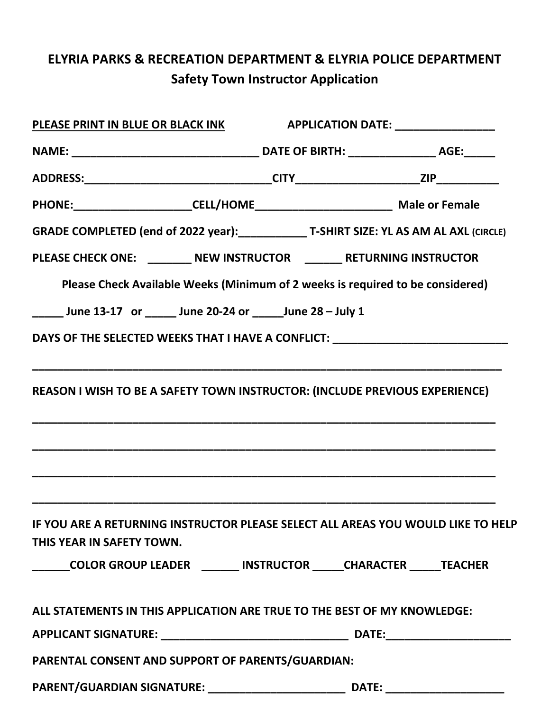# **ELYRIA PARKS & RECREATION DEPARTMENT & ELYRIA POLICE DEPARTMENT Safety Town Instructor Application**

| PLEASE PRINT IN BLUE OR BLACK INK                                                 | <b>APPLICATION DATE:</b> __________________ |
|-----------------------------------------------------------------------------------|---------------------------------------------|
|                                                                                   |                                             |
|                                                                                   |                                             |
|                                                                                   |                                             |
|                                                                                   |                                             |
| PLEASE CHECK ONE: ________ NEW INSTRUCTOR _______ RETURNING INSTRUCTOR            |                                             |
| Please Check Available Weeks (Minimum of 2 weeks is required to be considered)    |                                             |
| _______ June 13-17 or _______ June 20-24 or _______ June 28 - July 1              |                                             |
| DAYS OF THE SELECTED WEEKS THAT I HAVE A CONFLICT: NAME ASSESSED.                 |                                             |
|                                                                                   |                                             |
| REASON I WISH TO BE A SAFETY TOWN INSTRUCTOR: (INCLUDE PREVIOUS EXPERIENCE)       |                                             |
|                                                                                   |                                             |
|                                                                                   |                                             |
|                                                                                   |                                             |
|                                                                                   |                                             |
| IF YOU ARE A RETURNING INSTRUCTOR PLEASE SELECT ALL AREAS YOU WOULD LIKE TO HELP  |                                             |
| THIS YEAR IN SAFETY TOWN.                                                         |                                             |
| ______COLOR GROUP LEADER _______ INSTRUCTOR _____CHARACTER _____ TEACHER          |                                             |
| ALL STATEMENTS IN THIS APPLICATION ARE TRUE TO THE BEST OF MY KNOWLEDGE:          |                                             |
|                                                                                   |                                             |
| PARENTAL CONSENT AND SUPPORT OF PARENTS/GUARDIAN:                                 |                                             |
|                                                                                   |                                             |
| PARENT/GUARDIAN SIGNATURE: __________________________________ DATE: _____________ |                                             |